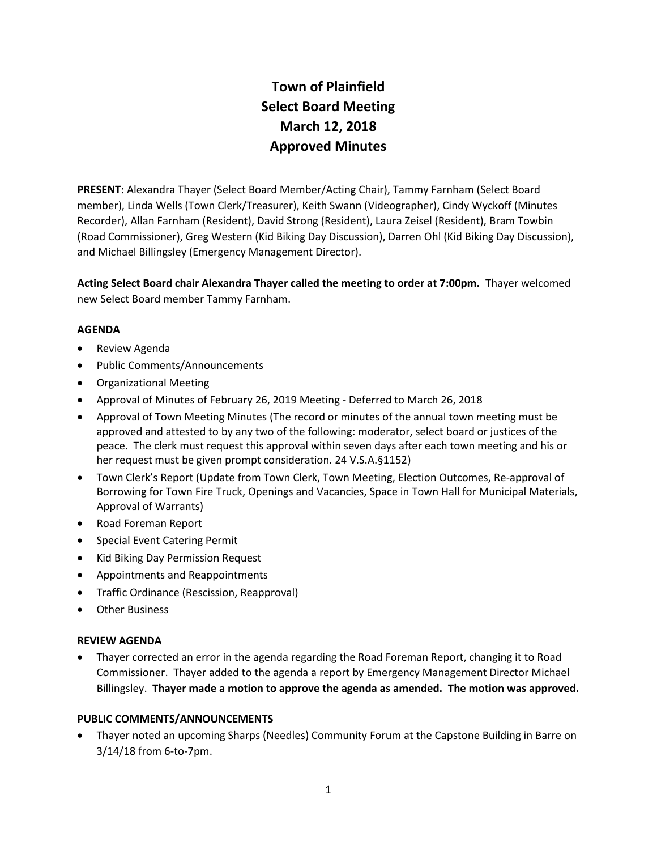# **Town of Plainfield Select Board Meeting March 12, 2018 Approved Minutes**

**PRESENT:** Alexandra Thayer (Select Board Member/Acting Chair), Tammy Farnham (Select Board member), Linda Wells (Town Clerk/Treasurer), Keith Swann (Videographer), Cindy Wyckoff (Minutes Recorder), Allan Farnham (Resident), David Strong (Resident), Laura Zeisel (Resident), Bram Towbin (Road Commissioner), Greg Western (Kid Biking Day Discussion), Darren Ohl (Kid Biking Day Discussion), and Michael Billingsley (Emergency Management Director).

**Acting Select Board chair Alexandra Thayer called the meeting to order at 7:00pm.** Thayer welcomed new Select Board member Tammy Farnham.

# **AGENDA**

- Review Agenda
- Public Comments/Announcements
- Organizational Meeting
- Approval of Minutes of February 26, 2019 Meeting Deferred to March 26, 2018
- Approval of Town Meeting Minutes (The record or minutes of the annual town meeting must be approved and attested to by any two of the following: moderator, select board or justices of the peace. The clerk must request this approval within seven days after each town meeting and his or her request must be given prompt consideration. 24 V.S.A.§1152)
- Town Clerk's Report (Update from Town Clerk, Town Meeting, Election Outcomes, Re-approval of Borrowing for Town Fire Truck, Openings and Vacancies, Space in Town Hall for Municipal Materials, Approval of Warrants)
- Road Foreman Report
- Special Event Catering Permit
- Kid Biking Day Permission Request
- Appointments and Reappointments
- Traffic Ordinance (Rescission, Reapproval)
- Other Business

#### **REVIEW AGENDA**

 Thayer corrected an error in the agenda regarding the Road Foreman Report, changing it to Road Commissioner. Thayer added to the agenda a report by Emergency Management Director Michael Billingsley. **Thayer made a motion to approve the agenda as amended. The motion was approved.**

#### **PUBLIC COMMENTS/ANNOUNCEMENTS**

 Thayer noted an upcoming Sharps (Needles) Community Forum at the Capstone Building in Barre on 3/14/18 from 6-to-7pm.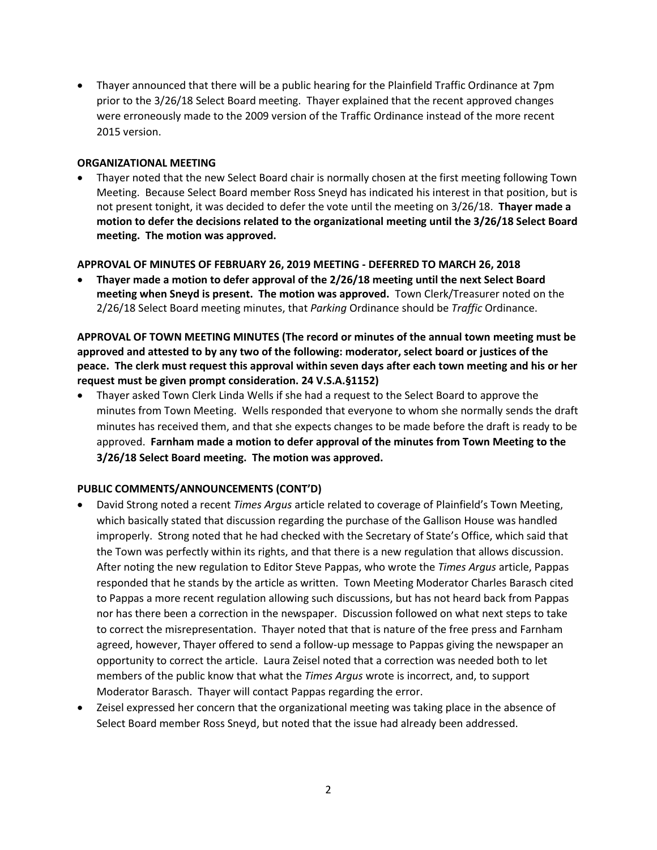Thayer announced that there will be a public hearing for the Plainfield Traffic Ordinance at 7pm prior to the 3/26/18 Select Board meeting. Thayer explained that the recent approved changes were erroneously made to the 2009 version of the Traffic Ordinance instead of the more recent 2015 version.

#### **ORGANIZATIONAL MEETING**

 Thayer noted that the new Select Board chair is normally chosen at the first meeting following Town Meeting. Because Select Board member Ross Sneyd has indicated his interest in that position, but is not present tonight, it was decided to defer the vote until the meeting on 3/26/18. **Thayer made a motion to defer the decisions related to the organizational meeting until the 3/26/18 Select Board meeting. The motion was approved.**

#### **APPROVAL OF MINUTES OF FEBRUARY 26, 2019 MEETING - DEFERRED TO MARCH 26, 2018**

 **Thayer made a motion to defer approval of the 2/26/18 meeting until the next Select Board meeting when Sneyd is present. The motion was approved.** Town Clerk/Treasurer noted on the 2/26/18 Select Board meeting minutes, that *Parking* Ordinance should be *Traffic* Ordinance.

**APPROVAL OF TOWN MEETING MINUTES (The record or minutes of the annual town meeting must be approved and attested to by any two of the following: moderator, select board or justices of the peace. The clerk must request this approval within seven days after each town meeting and his or her request must be given prompt consideration. 24 V.S.A.§1152)**

 Thayer asked Town Clerk Linda Wells if she had a request to the Select Board to approve the minutes from Town Meeting. Wells responded that everyone to whom she normally sends the draft minutes has received them, and that she expects changes to be made before the draft is ready to be approved. **Farnham made a motion to defer approval of the minutes from Town Meeting to the 3/26/18 Select Board meeting. The motion was approved.**

#### **PUBLIC COMMENTS/ANNOUNCEMENTS (CONT'D)**

- David Strong noted a recent *Times Argus* article related to coverage of Plainfield's Town Meeting, which basically stated that discussion regarding the purchase of the Gallison House was handled improperly. Strong noted that he had checked with the Secretary of State's Office, which said that the Town was perfectly within its rights, and that there is a new regulation that allows discussion. After noting the new regulation to Editor Steve Pappas, who wrote the *Times Argus* article, Pappas responded that he stands by the article as written. Town Meeting Moderator Charles Barasch cited to Pappas a more recent regulation allowing such discussions, but has not heard back from Pappas nor has there been a correction in the newspaper. Discussion followed on what next steps to take to correct the misrepresentation. Thayer noted that that is nature of the free press and Farnham agreed, however, Thayer offered to send a follow-up message to Pappas giving the newspaper an opportunity to correct the article. Laura Zeisel noted that a correction was needed both to let members of the public know that what the *Times Argus* wrote is incorrect, and, to support Moderator Barasch. Thayer will contact Pappas regarding the error.
- Zeisel expressed her concern that the organizational meeting was taking place in the absence of Select Board member Ross Sneyd, but noted that the issue had already been addressed.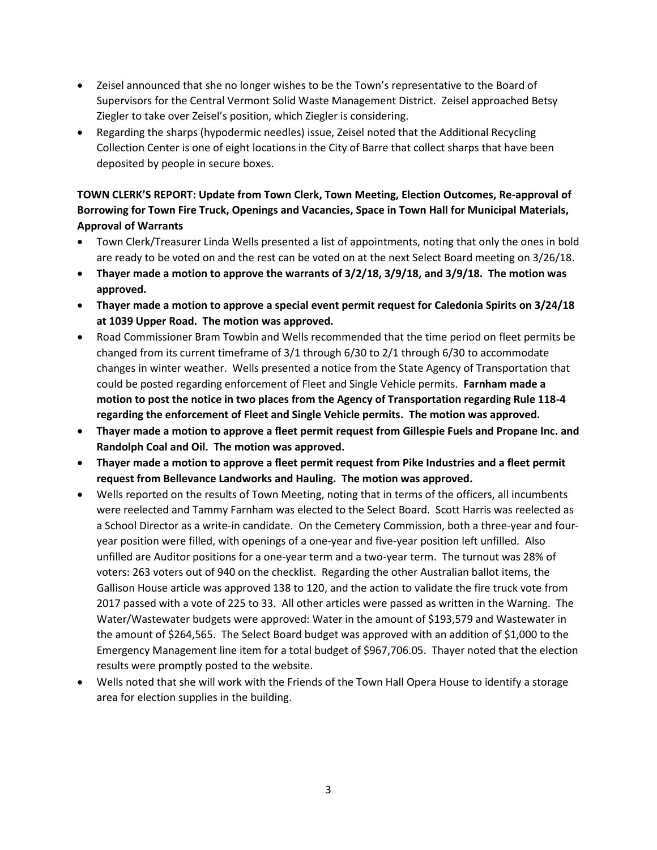- Zeisel announced that she no longer wishes to be the Town's representative to the Board of Supervisors for the Central Vermont Solid Waste Management District. Zeisel approached Betsy Ziegler to take over Zeisel's position, which Ziegler is considering.
- Regarding the sharps (hypodermic needles) issue, Zeisel noted that the Additional Recycling Collection Center is one of eight locations in the City of Barre that collect sharps that have been deposited by people in secure boxes.

# **TOWN CLERK'S REPORT: Update from Town Clerk, Town Meeting, Election Outcomes, Re-approval of Borrowing for Town Fire Truck, Openings and Vacancies, Space in Town Hall for Municipal Materials, Approval of Warrants**

- Town Clerk/Treasurer Linda Wells presented a list of appointments, noting that only the ones in bold are ready to be voted on and the rest can be voted on at the next Select Board meeting on 3/26/18.
- **Thayer made a motion to approve the warrants of 3/2/18, 3/9/18, and 3/9/18. The motion was approved.**
- **Thayer made a motion to approve a special event permit request for Caledonia Spirits on 3/24/18 at 1039 Upper Road. The motion was approved.**
- Road Commissioner Bram Towbin and Wells recommended that the time period on fleet permits be changed from its current timeframe of 3/1 through 6/30 to 2/1 through 6/30 to accommodate changes in winter weather. Wells presented a notice from the State Agency of Transportation that could be posted regarding enforcement of Fleet and Single Vehicle permits. **Farnham made a motion to post the notice in two places from the Agency of Transportation regarding Rule 118-4 regarding the enforcement of Fleet and Single Vehicle permits. The motion was approved.**
- **Thayer made a motion to approve a fleet permit request from Gillespie Fuels and Propane Inc. and Randolph Coal and Oil. The motion was approved.**
- **Thayer made a motion to approve a fleet permit request from Pike Industries and a fleet permit request from Bellevance Landworks and Hauling. The motion was approved.**
- Wells reported on the results of Town Meeting, noting that in terms of the officers, all incumbents were reelected and Tammy Farnham was elected to the Select Board. Scott Harris was reelected as a School Director as a write-in candidate. On the Cemetery Commission, both a three-year and fouryear position were filled, with openings of a one-year and five-year position left unfilled. Also unfilled are Auditor positions for a one-year term and a two-year term. The turnout was 28% of voters: 263 voters out of 940 on the checklist. Regarding the other Australian ballot items, the Gallison House article was approved 138 to 120, and the action to validate the fire truck vote from 2017 passed with a vote of 225 to 33. All other articles were passed as written in the Warning. The Water/Wastewater budgets were approved: Water in the amount of \$193,579 and Wastewater in the amount of \$264,565. The Select Board budget was approved with an addition of \$1,000 to the Emergency Management line item for a total budget of \$967,706.05. Thayer noted that the election results were promptly posted to the website.
- Wells noted that she will work with the Friends of the Town Hall Opera House to identify a storage area for election supplies in the building.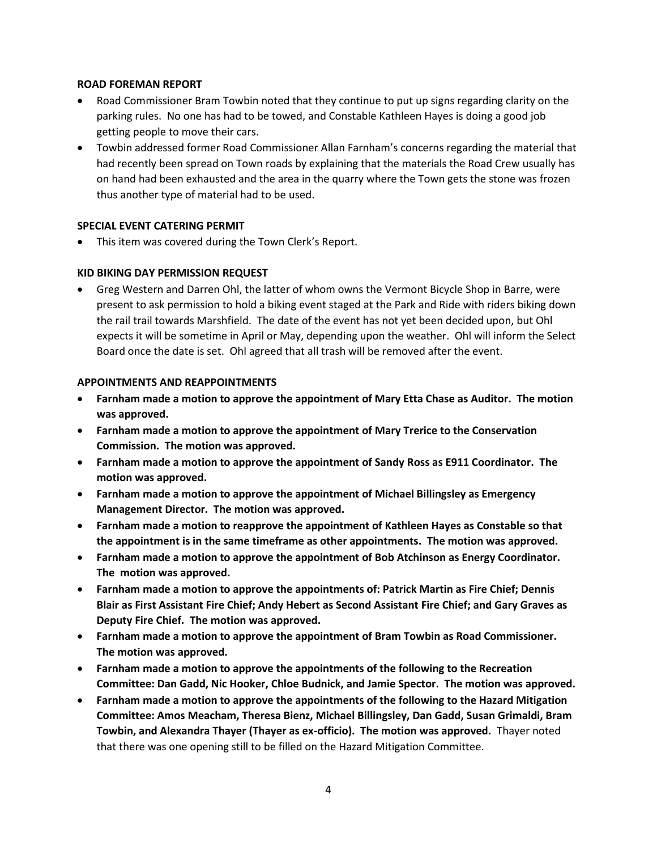#### **ROAD FOREMAN REPORT**

- Road Commissioner Bram Towbin noted that they continue to put up signs regarding clarity on the parking rules. No one has had to be towed, and Constable Kathleen Hayes is doing a good job getting people to move their cars.
- Towbin addressed former Road Commissioner Allan Farnham's concerns regarding the material that had recently been spread on Town roads by explaining that the materials the Road Crew usually has on hand had been exhausted and the area in the quarry where the Town gets the stone was frozen thus another type of material had to be used.

#### **SPECIAL EVENT CATERING PERMIT**

This item was covered during the Town Clerk's Report.

#### **KID BIKING DAY PERMISSION REQUEST**

 Greg Western and Darren Ohl, the latter of whom owns the Vermont Bicycle Shop in Barre, were present to ask permission to hold a biking event staged at the Park and Ride with riders biking down the rail trail towards Marshfield. The date of the event has not yet been decided upon, but Ohl expects it will be sometime in April or May, depending upon the weather. Ohl will inform the Select Board once the date is set. Ohl agreed that all trash will be removed after the event.

#### **APPOINTMENTS AND REAPPOINTMENTS**

- **Farnham made a motion to approve the appointment of Mary Etta Chase as Auditor. The motion was approved.**
- **Farnham made a motion to approve the appointment of Mary Trerice to the Conservation Commission. The motion was approved.**
- **Farnham made a motion to approve the appointment of Sandy Ross as E911 Coordinator. The motion was approved.**
- **Farnham made a motion to approve the appointment of Michael Billingsley as Emergency Management Director. The motion was approved.**
- **Farnham made a motion to reapprove the appointment of Kathleen Hayes as Constable so that the appointment is in the same timeframe as other appointments. The motion was approved.**
- **Farnham made a motion to approve the appointment of Bob Atchinson as Energy Coordinator. The motion was approved.**
- **Farnham made a motion to approve the appointments of: Patrick Martin as Fire Chief; Dennis Blair as First Assistant Fire Chief; Andy Hebert as Second Assistant Fire Chief; and Gary Graves as Deputy Fire Chief. The motion was approved.**
- **Farnham made a motion to approve the appointment of Bram Towbin as Road Commissioner. The motion was approved.**
- **Farnham made a motion to approve the appointments of the following to the Recreation Committee: Dan Gadd, Nic Hooker, Chloe Budnick, and Jamie Spector. The motion was approved.**
- **Farnham made a motion to approve the appointments of the following to the Hazard Mitigation Committee: Amos Meacham, Theresa Bienz, Michael Billingsley, Dan Gadd, Susan Grimaldi, Bram Towbin, and Alexandra Thayer (Thayer as ex-officio). The motion was approved.** Thayer noted that there was one opening still to be filled on the Hazard Mitigation Committee.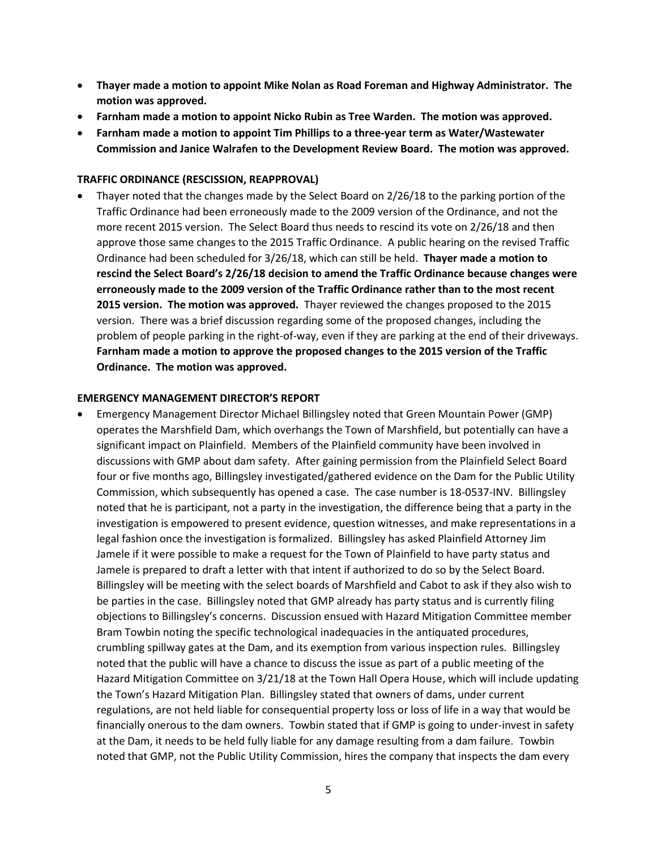- **Thayer made a motion to appoint Mike Nolan as Road Foreman and Highway Administrator. The motion was approved.**
- **Farnham made a motion to appoint Nicko Rubin as Tree Warden. The motion was approved.**
- **Farnham made a motion to appoint Tim Phillips to a three-year term as Water/Wastewater Commission and Janice Walrafen to the Development Review Board. The motion was approved.**

#### **TRAFFIC ORDINANCE (RESCISSION, REAPPROVAL)**

 Thayer noted that the changes made by the Select Board on 2/26/18 to the parking portion of the Traffic Ordinance had been erroneously made to the 2009 version of the Ordinance, and not the more recent 2015 version. The Select Board thus needs to rescind its vote on 2/26/18 and then approve those same changes to the 2015 Traffic Ordinance. A public hearing on the revised Traffic Ordinance had been scheduled for 3/26/18, which can still be held. **Thayer made a motion to rescind the Select Board's 2/26/18 decision to amend the Traffic Ordinance because changes were erroneously made to the 2009 version of the Traffic Ordinance rather than to the most recent 2015 version. The motion was approved.** Thayer reviewed the changes proposed to the 2015 version. There was a brief discussion regarding some of the proposed changes, including the problem of people parking in the right-of-way, even if they are parking at the end of their driveways. **Farnham made a motion to approve the proposed changes to the 2015 version of the Traffic Ordinance. The motion was approved.** 

#### **EMERGENCY MANAGEMENT DIRECTOR'S REPORT**

 Emergency Management Director Michael Billingsley noted that Green Mountain Power (GMP) operates the Marshfield Dam, which overhangs the Town of Marshfield, but potentially can have a significant impact on Plainfield. Members of the Plainfield community have been involved in discussions with GMP about dam safety. After gaining permission from the Plainfield Select Board four or five months ago, Billingsley investigated/gathered evidence on the Dam for the Public Utility Commission, which subsequently has opened a case. The case number is 18-0537-INV. Billingsley noted that he is participant, not a party in the investigation, the difference being that a party in the investigation is empowered to present evidence, question witnesses, and make representations in a legal fashion once the investigation is formalized. Billingsley has asked Plainfield Attorney Jim Jamele if it were possible to make a request for the Town of Plainfield to have party status and Jamele is prepared to draft a letter with that intent if authorized to do so by the Select Board. Billingsley will be meeting with the select boards of Marshfield and Cabot to ask if they also wish to be parties in the case. Billingsley noted that GMP already has party status and is currently filing objections to Billingsley's concerns. Discussion ensued with Hazard Mitigation Committee member Bram Towbin noting the specific technological inadequacies in the antiquated procedures, crumbling spillway gates at the Dam, and its exemption from various inspection rules. Billingsley noted that the public will have a chance to discuss the issue as part of a public meeting of the Hazard Mitigation Committee on 3/21/18 at the Town Hall Opera House, which will include updating the Town's Hazard Mitigation Plan. Billingsley stated that owners of dams, under current regulations, are not held liable for consequential property loss or loss of life in a way that would be financially onerous to the dam owners. Towbin stated that if GMP is going to under-invest in safety at the Dam, it needs to be held fully liable for any damage resulting from a dam failure. Towbin noted that GMP, not the Public Utility Commission, hires the company that inspects the dam every